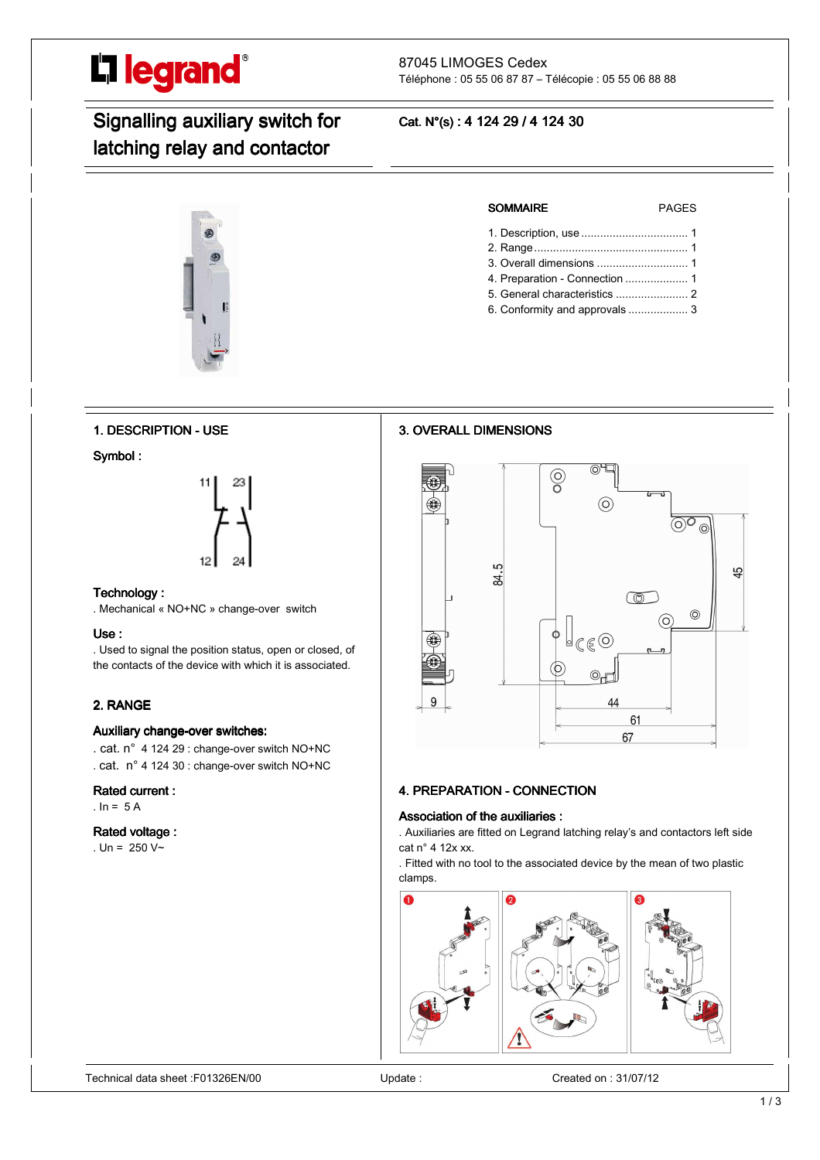

#### 87045 LIMOGES Cedex Téléphone : 05 55 06 87 87 – Télécopie : 05 55 06 88 88

# Signalling auxiliary switch for latching relay and contactor

# Cat. N°(s): 4 124 29 / 4 124 30

**3. OVERALL DIMENSIONS** 



# SOMMAIRE PAGES

- 1. Description, use .................................. 1
- 2. Range ................................................. 1 3. Overall dimensions ............................. 1
- 4. Preparation Connection .................... 1
- 5. General characteristics ....................... 2
- 6. Conformity and approvals ................... 3

1. DESCRIPTION - USE

Symbol:



#### Technology:

. Mechanical « NO+NC » change-over switch

#### Use:

. Used to signal the position status, open or closed, of the contacts of the device with which it is associated.

### 2. RANGE

#### Auxiliary change-over switches:

. cat. n° 4 124 29 : change-over switch NO+NC

. cat. n° 4 124 30 : change-over switch NO+NC

#### Rated current :

.  $In = 5 A$ 

#### Rated voltage:

. Un =  $250 V~$ 

⊚∓  $\odot$  $\odot$ LO. 42 र्द्र m  $\odot$ നി  $f \in \widehat{O}$ Æ  $\circledcirc$ 44 61 67

# 4. PREPARATION - CONNECTION

#### Association of the auxiliaries:

. Auxiliaries are fitted on Legrand latching relay's and contactors left side cat n° 4 12x xx.

. Fitted with no tool to the associated device by the mean of two plastic clamps.

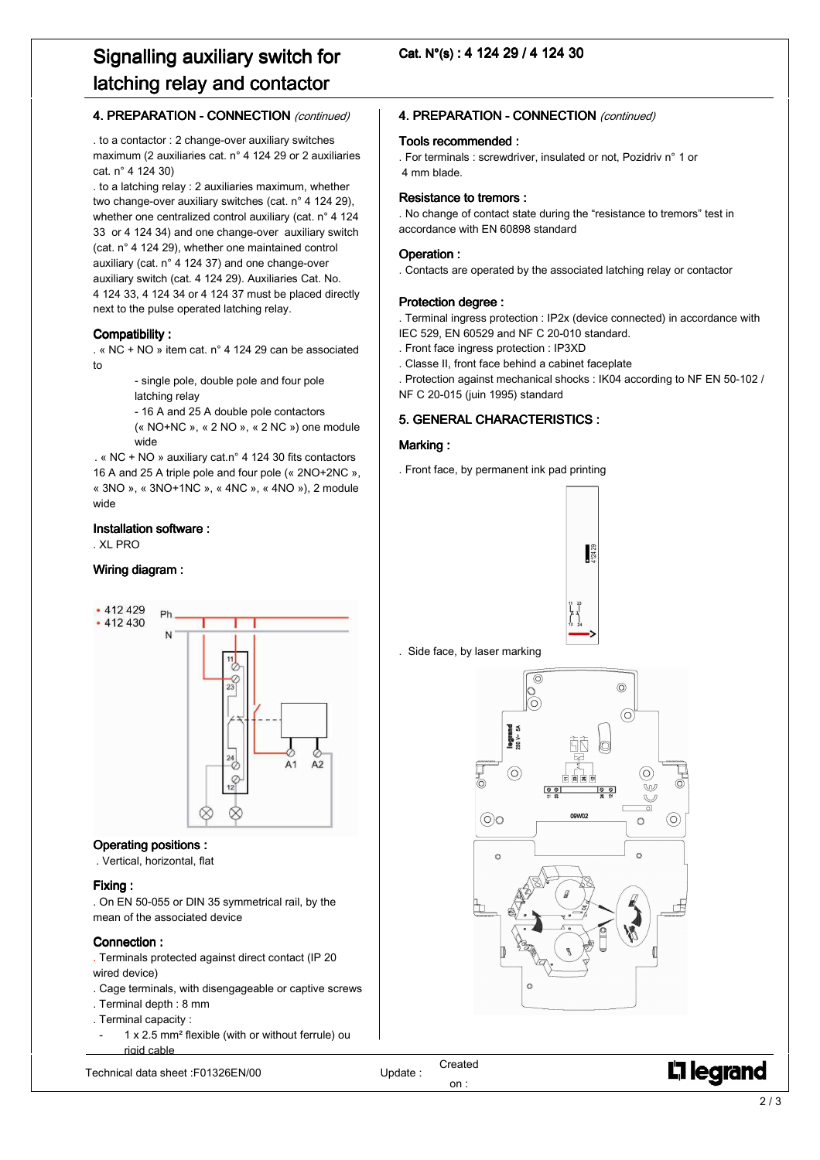# Signalling auxiliary switch for latching relay and contactor

### 4. PREPARATION - CONNECTION (continued)

. to a contactor : 2 change-over auxiliary switches maximum (2 auxiliaries cat. n° 4 124 29 or 2 auxiliaries cat. n° 4 124 30)

. to a latching relay : 2 auxiliaries maximum, whether two change-over auxiliary switches (cat. n° 4 124 29), whether one centralized control auxiliary (cat. n° 4 124 33 or 4 124 34) and one change-over auxiliary switch (cat. n° 4 124 29), whether one maintained control auxiliary (cat. n° 4 124 37) and one change-over auxiliary switch (cat. 4 124 29). Auxiliaries Cat. No. 4 124 33, 4 124 34 or 4 124 37 must be placed directly next to the pulse operated latching relay.

#### Compatibility:

 . « NC + NO » item cat. n° 4 124 29 can be associated to

> - single pole, double pole and four pole latching relay

- 16 A and 25 A double pole contactors
- (« NO+NC », « 2 NO », « 2 NC ») one module wide

 . « NC + NO » auxiliary cat.n° 4 124 30 fits contactors 16 A and 25 A triple pole and four pole (« 2NO+2NC », « 3NO », « 3NO+1NC », « 4NC », « 4NO »), 2 module wide

#### Installation software :

. XL PRO

#### Wiring diagram:



#### Operating positions:

. Vertical, horizontal, flat

#### Fixing:

. On EN 50-055 or DIN 35 symmetrical rail, by the mean of the associated device

#### Connection:

. Terminals protected against direct contact (IP 20 wired device)

- . Cage terminals, with disengageable or captive screws
- . Terminal depth : 8 mm
- . Terminal capacity :
- 1 x 2.5 mm<sup>2</sup> flexible (with or without ferrule) ou rigid cable

Technical data sheet :F01326EN/00 Update :

Cat. N°(s): 4 124 29 / 4 124 30

#### 4. PREPARATION - CONNECTION (continued)

#### Tools recommended :

. For terminals : screwdriver, insulated or not, Pozidriv n° 1 or 4 mm blade.

#### Resistance to tremors :

. No change of contact state during the "resistance to tremors" test in accordance with EN 60898 standard

#### Operation:

. Contacts are operated by the associated latching relay or contactor

#### Protection degree:

. Terminal ingress protection : IP2x (device connected) in accordance with IEC 529, EN 60529 and NF C 20-010 standard.

- . Front face ingress protection : IP3XD
- . Classe II, front face behind a cabinet faceplate
- . Protection against mechanical shocks : IK04 according to NF EN 50-102 / NF C 20-015 (juin 1995) standard

#### 5. GENERAL CHARACTERISTICS:

#### Marking:

. Front face, by permanent ink pad printing







j

# L<sub>i</sub>legrand